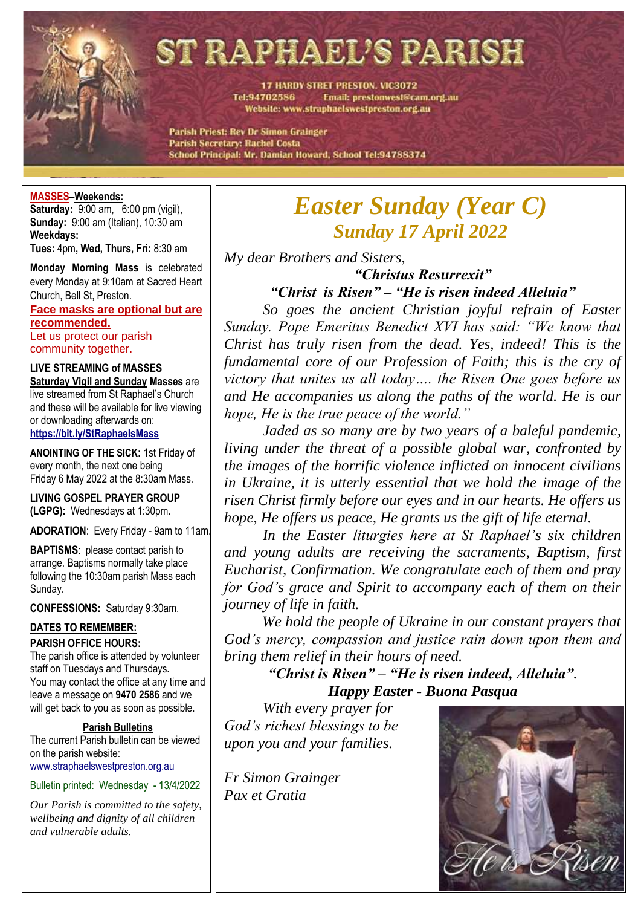# **ST RAPHAEL'S PARISH**

17 HARDY STRET PRESTON. VIC3072 Tel:94702586 Email: prestonwest@cam.org.au Website: www.straphaelswestpreston.org.au

Parish Priest: Rev Dr Simon Grainger Parish Secretary: Rachel Costa School Principal: Mr. Damian Howard, School Tel:94788374

**MASSES–Weekends: Saturday:** 9:00 am, 6:00 pm (vigil), **Sunday:** 9:00 am (Italian), 10:30 am **Weekdays: Tues:** 4pm**, Wed, Thurs, Fri:** 8:30 am

**Monday Morning Mass** is celebrated every Monday at 9:10am at Sacred Heart Church, Bell St, Preston.

**Face masks are optional but are recommended.**

Let us protect our parish community together.

#### **LIVE STREAMING of MASSES**

**Saturday Vigil and Sunday Masses** are live streamed from St Raphael's Church and these will be available for live viewing or downloading afterwards on: **<https://bit.ly/StRaphaelsMass>**

**ANOINTING OF THE SICK:** 1st Friday of every month, the next one being Friday 6 May 2022 at the 8:30am Mass.

**LIVING GOSPEL PRAYER GROUP (LGPG):** Wednesdays at 1:30pm.

**ADORATION**: Every Friday - 9am to 11am.

**BAPTISMS**: please contact parish to arrange. Baptisms normally take place following the 10:30am parish Mass each Sunday.

**CONFESSIONS:** Saturday 9:30am.

#### **DATES TO REMEMBER: PARISH OFFICE HOURS:**

The parish office is attended by volunteer staff on Tuesdays and Thursdays**.** You may contact the office at any time and leave a message on **9470 2586** and we will get back to you as soon as possible.

#### **Parish Bulletins**

The current Parish bulletin can be viewed on the parish website: [www.straphaelswestpreston.org.au](file:///D:/Google%20Drive/ST%20RAPHAEL)

Bulletin printed: Wednesday - 13/4/2022

*Our Parish is committed to the safety, wellbeing and dignity of all children and vulnerable adults.*

# *Easter Sunday (Year C) Sunday 17 April 2022*

*My dear Brothers and Sisters,*

*"Christus Resurrexit"*

*"Christ is Risen" – "He is risen indeed Alleluia"*

*So goes the ancient Christian joyful refrain of Easter Sunday. Pope Emeritus Benedict XVI has said: "We know that Christ has truly risen from the dead. Yes, indeed! This is the fundamental core of our Profession of Faith; this is the cry of victory that unites us all today…. the Risen One goes before us and He accompanies us along the paths of the world. He is our hope, He is the true peace of the world."*

*Jaded as so many are by two years of a baleful pandemic, living under the threat of a possible global war, confronted by the images of the horrific violence inflicted on innocent civilians in Ukraine, it is utterly essential that we hold the image of the risen Christ firmly before our eyes and in our hearts. He offers us hope, He offers us peace, He grants us the gift of life eternal.*

*In the Easter liturgies here at St Raphael's six children and young adults are receiving the sacraments, Baptism, first Eucharist, Confirmation. We congratulate each of them and pray for God's grace and Spirit to accompany each of them on their journey of life in faith.*

*We hold the people of Ukraine in our constant prayers that God's mercy, compassion and justice rain down upon them and bring them relief in their hours of need.*

*"Christ is Risen" – "He is risen indeed, Alleluia". Happy Easter - Buona Pasqua*

*With every prayer for God's richest blessings to be upon you and your families.* 

*Fr Simon Grainger Pax et Gratia*

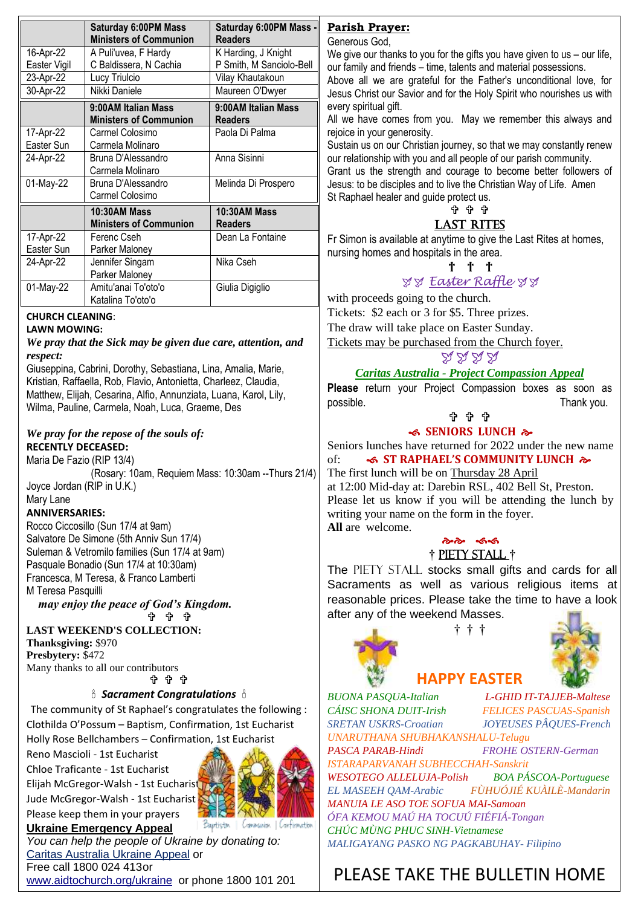|              | <b>Saturday 6:00PM Mass</b><br><b>Ministers of Communion</b> | Saturday 6:00PM Mass -<br><b>Readers</b> |
|--------------|--------------------------------------------------------------|------------------------------------------|
| 16-Apr-22    | A Puli'uvea, F Hardy                                         | K Harding, J Knight                      |
| Easter Vigil | C Baldissera, N Cachia                                       | P Smith, M Sanciolo-Bell                 |
| 23-Apr-22    | Lucy Triulcio                                                | Vilay Khautakoun                         |
| 30-Apr-22    | Nikki Daniele                                                | Maureen O'Dwyer                          |
|              | 9:00AM Italian Mass                                          | 9:00AM Italian Mass                      |
|              | <b>Ministers of Communion</b>                                | <b>Readers</b>                           |
| 17-Apr-22    | Carmel Colosimo                                              | Paola Di Palma                           |
| Easter Sun   | Carmela Molinaro                                             |                                          |
| 24-Apr-22    | Bruna D'Alessandro                                           | Anna Sisinni                             |
|              | Carmela Molinaro                                             |                                          |
| 01-May-22    | Bruna D'Alessandro                                           | Melinda Di Prospero                      |
|              | Carmel Colosimo                                              |                                          |
|              | <b>10:30AM Mass</b>                                          | <b>10:30AM Mass</b>                      |
|              | <b>Ministers of Communion</b>                                | <b>Readers</b>                           |
| 17-Apr-22    | Ferenc Cseh                                                  | Dean La Fontaine                         |
| Easter Sun   | Parker Maloney                                               |                                          |
| 24-Apr-22    | Jennifer Singam                                              | Nika Cseh                                |
|              | Parker Maloney                                               |                                          |
| 01-May-22    | Amitu'anai To'oto'o                                          | Giulia Digiglio                          |
|              | Katalina To'oto'o                                            |                                          |

# **CHURCH CLEANING**:

**LAWN MOWING:** 

*We pray that the Sick may be given due care, attention, and respect:*

Giuseppina, Cabrini, Dorothy, Sebastiana, Lina, Amalia, Marie, Kristian, Raffaella, Rob, Flavio, Antonietta, Charleez, Claudia, Matthew, Elijah, Cesarina, Alfio, Annunziata, Luana, Karol, Lily, Wilma, Pauline, Carmela, Noah, Luca, Graeme, Des

#### *We pray for the repose of the souls of:*

**RECENTLY DECEASED:** 

Maria De Fazio (RIP 13/4)

 (Rosary: 10am, Requiem Mass: 10:30am --Thurs 21/4) Joyce Jordan (RIP in U.K.)

#### Mary Lane **ANNIVERSARIES:**

Rocco Ciccosillo (Sun 17/4 at 9am) Salvatore De Simone (5th Anniv Sun 17/4) Suleman & Vetromilo families (Sun 17/4 at 9am) Pasquale Bonadio (Sun 17/4 at 10:30am) Francesca, M Teresa, & Franco Lamberti

M Teresa Pasquilli

 *may enjoy the peace of God's Kingdom.* **t t t** 

**LAST WEEKEND'S COLLECTION:** 

**Thanksgiving:** \$970 **Presbytery:** \$472

Many thanks to all our contributors ቱ ቱ ቱ

#### *Sacrament Congratulations*

The community of St Raphael's congratulates the following : Clothilda O'Possum – Baptism, Confirmation, 1st Eucharist

Holly Rose Bellchambers – Confirmation, 1st Eucharist

Reno Mascioli - 1st Eucharist Chloe Traficante - 1st Eucharist Elijah McGregor-Walsh - 1st Eucharist Jude McGregor-Walsh - 1st Eucharist Please keep them in your prayers



**Ukraine Emergency Appeal**

*You can help the people of Ukraine by donating to:* [Caritas Australia Ukraine Appeal](https://www.caritas.org.au/donate/emergency-appeals/ukraine/) or Free call 1800 024 413or [www.aidtochurch.org/ukraine](http://www.aidtochurch.org/ukraine) or phone 1800 101 201

# **Parish Prayer:**

Generous God,

We give our thanks to you for the gifts you have given to us – our life, our family and friends – time, talents and material possessions.

Above all we are grateful for the Father's unconditional love, for Jesus Christ our Savior and for the Holy Spirit who nourishes us with every spiritual gift.

All we have comes from you. May we remember this always and rejoice in your generosity.

Sustain us on our Christian journey, so that we may constantly renew our relationship with you and all people of our parish community. Grant us the strength and courage to become better followers of Jesus: to be disciples and to live the Christian Way of Life. Amen St Raphael healer and guide protect us.

ቁ ቁ ቁ

### LAST RITES

Fr Simon is available at anytime to give the Last Rites at homes, nursing homes and hospitals in the area.

† † †

# *Easter Raffle*

with proceeds going to the church.

Tickets: \$2 each or 3 for \$5. Three prizes.

The draw will take place on Easter Sunday.

Tickets may be purchased from the Church foyer.

22 22 22 22

### *Caritas Australia - Project Compassion Appeal*

**Please** return your Project Compassion boxes as soon as possible. Thank you.

ቁ ቁ ቁ

### SENIORS LUNCH 2

Seniors lunches have returned for 2022 under the new name of:  **ST RAPHAEL'S COMMUNITY LUNCH** 

The first lunch will be on Thursday 28 April at 12:00 Mid-day at: Darebin RSL, 402 Bell St, Preston. Please let us know if you will be attending the lunch by writing your name on the form in the foyer. **All** are welcome.

#### *ಹಿಹಿ* **ತು †** piety stall **†**

The PIETY STALL stocks small gifts and cards for all Sacraments as well as various religious items at reasonable prices. Please take the time to have a look after any of the weekend Masses.

† † †



*BUONA PASQUA-Italian L-GHID IT-TAJJEB-Maltese CÁISC SHONA DUIT-Irish FELICES PASCUAS-Spanish SRETAN USKRS-Croatian JOYEUSES PÂQUES-French UNARUTHANA SHUBHAKANSHALU-Telugu PASCA PARAB-Hindi FROHE OSTERN-German ISTARAPARVANAH SUBHECCHAH-Sanskrit WESOTEGO ALLELUJA-Polish BOA PÁSCOA-Portuguese EL MASEEH QAM-Arabic FÙHUÓJIÉ KUÀILÈ-Mandarin MANUIA LE ASO TOE SOFUA MAI-Samoan ÓFA KEMOU MAÚ HA TOCUÚ FIÉFIÁ-Tongan CHÚC MÙNG PHUC SINH-Vietnamese MALIGAYANG PASKO NG PAGKABUHAY- Filipino*

# PLEASE TAKE THE BULLETIN HOME

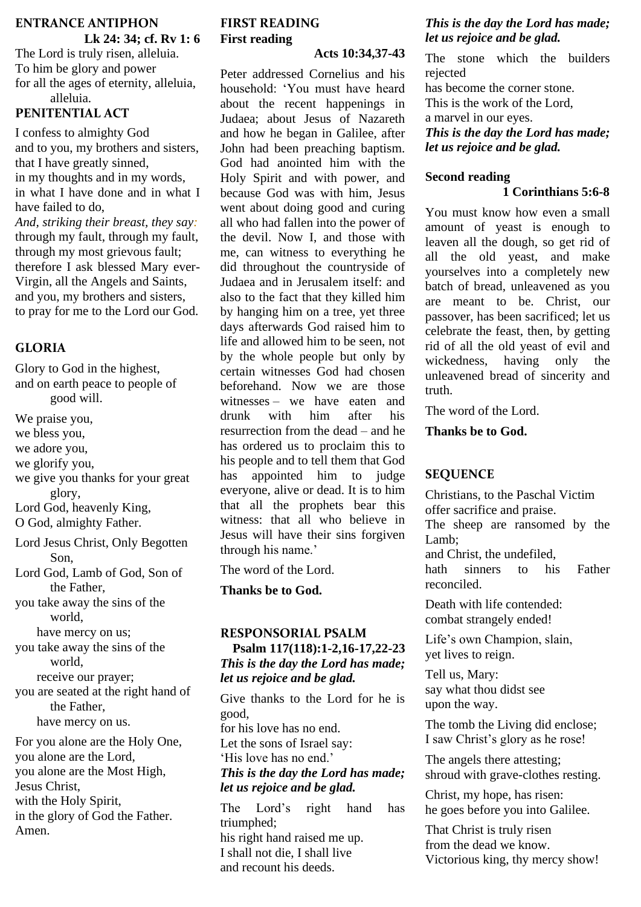# **ENTRANCE ANTIPHON Lk 24: 34; cf. Rv 1: 6**

The Lord is truly risen, alleluia. To him be glory and power for all the ages of eternity, alleluia, alleluia.

## **PENITENTIAL ACT**

I confess to almighty God and to you, my brothers and sisters, that I have greatly sinned, in my thoughts and in my words, in what I have done and in what I have failed to do,

*And, striking their breast, they say:* through my fault, through my fault, through my most grievous fault; therefore I ask blessed Mary ever-Virgin, all the Angels and Saints, and you, my brothers and sisters, to pray for me to the Lord our God.

# **GLORIA**

Glory to God in the highest, and on earth peace to people of good will.

We praise you, we bless you, we adore you, we glorify you, we give you thanks for your great glory, Lord God, heavenly King, O God, almighty Father. Lord Jesus Christ, Only Begotten Son, Lord God, Lamb of God, Son of the Father, you take away the sins of the world, have mercy on us; you take away the sins of the world, receive our prayer; you are seated at the right hand of the Father, have mercy on us. For you alone are the Holy One,

you alone are the Lord, you alone are the Most High, Jesus Christ, with the Holy Spirit, in the glory of God the Father. Amen.

# **FIRST READING First reading**

#### **Acts 10:34,37-43**

Peter addressed Cornelius and his household: 'You must have heard about the recent happenings in Judaea; about Jesus of Nazareth and how he began in Galilee, after John had been preaching baptism. God had anointed him with the Holy Spirit and with power, and because God was with him, Jesus went about doing good and curing all who had fallen into the power of the devil. Now I, and those with me, can witness to everything he did throughout the countryside of Judaea and in Jerusalem itself: and also to the fact that they killed him by hanging him on a tree, yet three days afterwards God raised him to life and allowed him to be seen, not by the whole people but only by certain witnesses God had chosen beforehand. Now we are those witnesses – we have eaten and drunk with him after his resurrection from the dead – and he has ordered us to proclaim this to his people and to tell them that God has appointed him to judge everyone, alive or dead. It is to him that all the prophets bear this witness: that all who believe in Jesus will have their sins forgiven through his name.'

The word of the Lord.

**Thanks be to God.**

### **RESPONSORIAL PSALM Psalm 117(118):1-2,16-17,22-23** *This is the day the Lord has made; let us rejoice and be glad.*

Give thanks to the Lord for he is good, for his love has no end. Let the sons of Israel say: 'His love has no end.' *This is the day the Lord has made; let us rejoice and be glad.* The Lord's right hand has

triumphed; his right hand raised me up. I shall not die, I shall live and recount his deeds.

#### *This is the day the Lord has made; let us rejoice and be glad.*

The stone which the builders rejected has become the corner stone. This is the work of the Lord, a marvel in our eyes. *This is the day the Lord has made; let us rejoice and be glad.*

#### **Second reading 1 Corinthians 5:6-8**

You must know how even a small amount of yeast is enough to leaven all the dough, so get rid of all the old yeast, and make yourselves into a completely new batch of bread, unleavened as you are meant to be. Christ, our passover, has been sacrificed; let us celebrate the feast, then, by getting rid of all the old yeast of evil and wickedness, having only the unleavened bread of sincerity and truth.

The word of the Lord.

# **Thanks be to God.**

# **SEQUENCE**

Christians, to the Paschal Victim offer sacrifice and praise. The sheep are ransomed by the Lamb: and Christ, the undefiled, hath sinners to his Father

reconciled. Death with life contended:

combat strangely ended!

Life's own Champion, slain, yet lives to reign.

Tell us, Mary: say what thou didst see upon the way.

The tomb the Living did enclose; I saw Christ's glory as he rose!

The angels there attesting; shroud with grave-clothes resting.

Christ, my hope, has risen: he goes before you into Galilee.

That Christ is truly risen from the dead we know. Victorious king, thy mercy show!